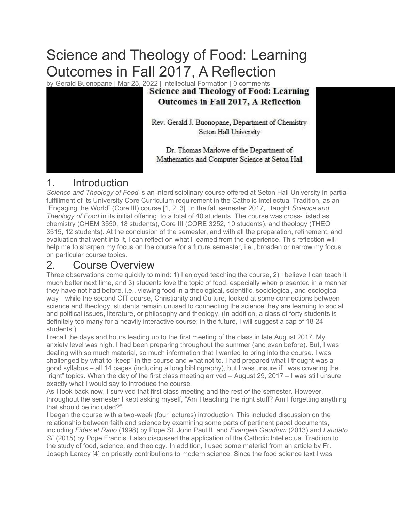## Science and Theology of Food: Learning Outcomes in Fall 2017, A Reflection

by Gerald Buonopane | Mar 25, 2022 | Intellectual Formation | 0 comments<br>Science and Theology of Food: Learning



# Outcomes in Fall 2017, A Reflection

Rev. Gerald J. Buonopane, Department of Chemistry Seton Hall University

Dr. Thomas Marlowe of the Department of Mathematics and Computer Science at Seton Hall

## 1. Introduction

Science and Theology of Food is an interdisciplinary course offered at Seton Hall University in partial fulfillment of its University Core Curriculum requirement in the Catholic Intellectual Tradition, as an "Engaging the World" (Core III) course [1, 2, 3]. In the fall semester 2017, I taught Science and Theology of Food in its initial offering, to a total of 40 students. The course was cross- listed as chemistry (CHEM 3550, 18 students), Core III (CORE 3252, 10 students), and theology (THEO 3515, 12 students). At the conclusion of the semester, and with all the preparation, refinement, and evaluation that went into it, I can reflect on what I learned from the experience. This reflection will help me to sharpen my focus on the course for a future semester, i.e., broaden or narrow my focus on particular course topics.

## 2. Course Overview

Three observations come quickly to mind: 1) I enjoyed teaching the course, 2) I believe I can teach it much better next time, and 3) students love the topic of food, especially when presented in a manner they have not had before, i.e., viewing food in a theological, scientific, sociological, and ecological way—while the second CIT course, Christianity and Culture, looked at some connections between science and theology, students remain unused to connecting the science they are learning to social and political issues, literature, or philosophy and theology. (In addition, a class of forty students is definitely too many for a heavily interactive course; in the future, I will suggest a cap of 18-24 students.)

I recall the days and hours leading up to the first meeting of the class in late August 2017. My anxiety level was high. I had been preparing throughout the summer (and even before). But, I was dealing with so much material, so much information that I wanted to bring into the course. I was challenged by what to "keep" in the course and what not to. I had prepared what I thought was a good syllabus – all 14 pages (including a long bibliography), but I was unsure if I was covering the "right" topics. When the day of the first class meeting arrived – August 29, 2017 – I was still unsure exactly what I would say to introduce the course.

As I look back now, I survived that first class meeting and the rest of the semester. However, throughout the semester I kept asking myself, "Am I teaching the right stuff? Am I forgetting anything that should be included?"

I began the course with a two-week (four lectures) introduction. This included discussion on the relationship between faith and science by examining some parts of pertinent papal documents, including Fides et Ratio (1998) by Pope St. John Paul II, and Evangelii Gaudium (2013) and Laudato Si' (2015) by Pope Francis. I also discussed the application of the Catholic Intellectual Tradition to the study of food, science, and theology. In addition, I used some material from an article by Fr. Joseph Laracy [4] on priestly contributions to modern science. Since the food science text I was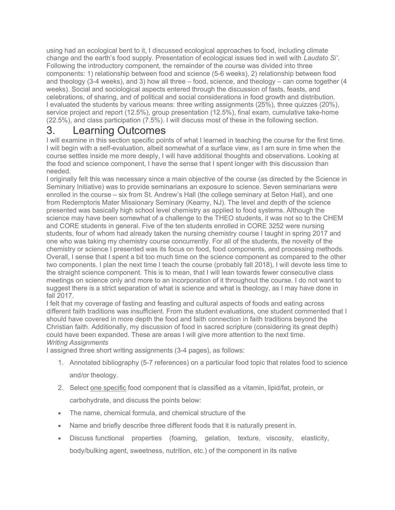using had an ecological bent to it, I discussed ecological approaches to food, including climate change and the earth's food supply. Presentation of ecological issues tied in well with Laudato Si'. Following the introductory component, the remainder of the course was divided into three components: 1) relationship between food and science (5-6 weeks), 2) relationship between food and theology (3-4 weeks), and 3) how all three – food, science, and theology – can come together (4 weeks). Social and sociological aspects entered through the discussion of fasts, feasts, and celebrations, of sharing, and of political and social considerations in food growth and distribution. I evaluated the students by various means: three writing assignments (25%), three quizzes (20%), service project and report (12.5%), group presentation (12.5%), final exam, cumulative take-home (22.5%), and class participation (7.5%). I will discuss most of these in the following section.

## 3. Learning Outcomes

I will examine in this section specific points of what I learned in teaching the course for the first time. I will begin with a self-evaluation, albeit somewhat of a surface view, as I am sure in time when the course settles inside me more deeply, I will have additional thoughts and observations. Looking at the food and science component, I have the sense that I spent longer with this discussion than needed.

I originally felt this was necessary since a main objective of the course (as directed by the Science in Seminary Initiative) was to provide seminarians an exposure to science. Seven seminarians were enrolled in the course – six from St. Andrew's Hall (the college seminary at Seton Hall), and one from Redemptoris Mater Missionary Seminary (Kearny, NJ). The level and depth of the science presented was basically high school level chemistry as applied to food systems. Although the science may have been somewhat of a challenge to the THEO students, it was not so to the CHEM and CORE students in general. Five of the ten students enrolled in CORE 3252 were nursing students, four of whom had already taken the nursing chemistry course I taught in spring 2017 and one who was taking my chemistry course concurrently. For all of the students, the novelty of the chemistry or science I presented was its focus on food, food components, and processing methods. Overall, I sense that I spent a bit too much time on the science component as compared to the other two components. I plan the next time I teach the course (probably fall 2018), I will devote less time to the straight science component. This is to mean, that I will lean towards fewer consecutive class meetings on science only and more to an incorporation of it throughout the course. I do not want to suggest there is a strict separation of what is science and what is theology, as I may have done in fall 2017.

I felt that my coverage of fasting and feasting and cultural aspects of foods and eating across different faith traditions was insufficient. From the student evaluations, one student commented that I should have covered in more depth the food and faith connection in faith traditions beyond the Christian faith. Additionally, my discussion of food in sacred scripture (considering its great depth) could have been expanded. These are areas I will give more attention to the next time. Writing Assignments

I assigned three short writing assignments (3-4 pages), as follows:

- 1. Annotated bibliography (5-7 references) on a particular food topic that relates food to science and/or theology.
- 2. Select one specific food component that is classified as a vitamin, lipid/fat, protein, or carbohydrate, and discuss the points below:
- The name, chemical formula, and chemical structure of the
- Name and briefly describe three different foods that it is naturally present in.
- Discuss functional properties (foaming, gelation, texture, viscosity, elasticity, body/bulking agent, sweetness, nutrition, etc.) of the component in its native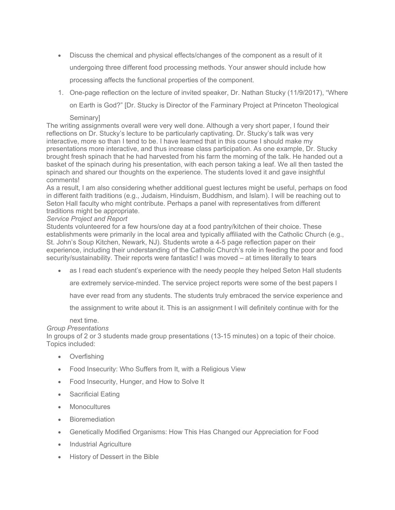- Discuss the chemical and physical effects/changes of the component as a result of it undergoing three different food processing methods. Your answer should include how processing affects the functional properties of the component.
- 1. One-page reflection on the lecture of invited speaker, Dr. Nathan Stucky (11/9/2017), "Where on Earth is God?" [Dr. Stucky is Director of the Farminary Project at Princeton Theological

#### Seminary]

The writing assignments overall were very well done. Although a very short paper, I found their reflections on Dr. Stucky's lecture to be particularly captivating. Dr. Stucky's talk was very interactive, more so than I tend to be. I have learned that in this course I should make my presentations more interactive, and thus increase class participation. As one example, Dr. Stucky brought fresh spinach that he had harvested from his farm the morning of the talk. He handed out a basket of the spinach during his presentation, with each person taking a leaf. We all then tasted the spinach and shared our thoughts on the experience. The students loved it and gave insightful comments!

As a result, I am also considering whether additional guest lectures might be useful, perhaps on food in different faith traditions (e.g., Judaism, Hinduism, Buddhism, and Islam). I will be reaching out to Seton Hall faculty who might contribute. Perhaps a panel with representatives from different traditions might be appropriate.

#### Service Project and Report

Students volunteered for a few hours/one day at a food pantry/kitchen of their choice. These establishments were primarily in the local area and typically affiliated with the Catholic Church (e.g., St. John's Soup Kitchen, Newark, NJ). Students wrote a 4-5 page reflection paper on their experience, including their understanding of the Catholic Church's role in feeding the poor and food security/sustainability. Their reports were fantastic! I was moved – at times literally to tears

as I read each student's experience with the needy people they helped Seton Hall students

are extremely service-minded. The service project reports were some of the best papers I

have ever read from any students. The students truly embraced the service experience and

the assignment to write about it. This is an assignment I will definitely continue with for the

#### next time.

#### Group Presentations

In groups of 2 or 3 students made group presentations (13-15 minutes) on a topic of their choice. Topics included:

- Overfishing
- Food Insecurity: Who Suffers from It, with a Religious View
- Food Insecurity, Hunger, and How to Solve It
- Sacrificial Eating
- Monocultures
- Bioremediation
- Genetically Modified Organisms: How This Has Changed our Appreciation for Food
- Industrial Agriculture
- History of Dessert in the Bible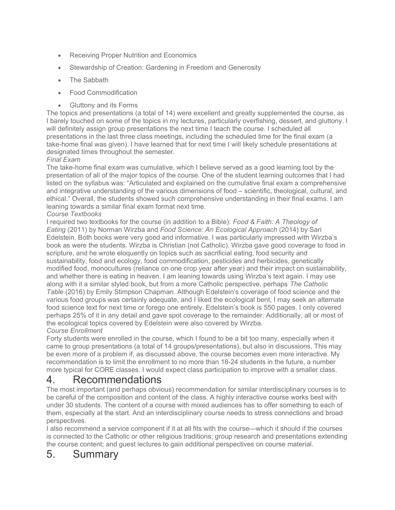- Receiving Proper Nutrition and Economics
- Stewardship of Creation: Gardening in Freedom and Generosity
- The Sabbath
- Food Commodification
- Gluttony and its Forms

The topics and presentations (a total of 14) were excellent and greatly supplemented the course, as I barely touched on some of the topics in my lectures, particularly overfishing, dessert, and gluttony. I will definitely assign group presentations the next time I teach the course. I scheduled all presentations in the last three class meetings, including the scheduled time for the final exam (a take-home final was given). I have learned that for next time I will likely schedule presentations at designated times throughout the semester.

#### Final Exam

The take-home final exam was cumulative, which I believe served as a good learning tool by the presentation of all of the major topics of the course. One of the student learning outcomes that I had listed on the syllabus was: "Articulated and explained on the cumulative final exam a comprehensive and integrative understanding of the various dimensions of food – scientific, theological, cultural, and ethical." Overall, the students showed such comprehensive understanding in their final exams. I am leaning towards a similar final exam format next time.

#### Course Textbooks

I required two textbooks for the course (in addition to a Bible): Food & Faith: A Theology of Eating (2011) by Norman Wirzba and Food Science: An Ecological Approach (2014) by Sari Edelstein. Both books were very good and informative. I was particularly impressed with Wirzba's book as were the students. Wirzba is Christian (not Catholic). Wirzba gave good coverage to food in scripture, and he wrote eloquently on topics such as sacrificial eating, food security and sustainability, food and ecology, food commodification, pesticides and herbicides, genetically modified food, monocultures (reliance on one crop year after year) and their impact on sustainability, and whether there is eating in heaven. I am leaning towards using Wirzba's text again. I may use along with it a similar styled book, but from a more Catholic perspective, perhaps The Catholic Table (2016) by Emily Stimpson Chapman. Although Edelstein's coverage of food science and the various food groups was certainly adequate, and I liked the ecological bent, I may seek an alternate food science text for next time or forego one entirely. Edelstein's book is 550 pages. I only covered perhaps 25% of it in any detail and gave spot coverage to the remainder. Additionally, all or most of the ecological topics covered by Edelstein were also covered by Wirzba. Course Enrollment

Forty students were enrolled in the course, which I found to be a bit too many, especially when it came to group presentations (a total of 14 groups/presentations), but also in discussions. This may be even more of a problem if, as discussed above, the course becomes even more interactive. My recommendation is to limit the enrollment to no more than 18-24 students in the future, a number more typical for CORE classes. I would expect class participation to improve with a smaller class.

### 4. Recommendations

The most important (and perhaps obvious) recommendation for similar interdisciplinary courses is to be careful of the composition and content of the class. A highly interactive course works best with under 30 students. The content of a course with mixed audiences has to offer something to each of them, especially at the start. And an interdisciplinary course needs to stress connections and broad perspectives.

I also recommend a service component if it at all fits with the course—which it should if the courses is connected to the Catholic or other religious traditions; group research and presentations extending the course content; and guest lectures to gain additional perspectives on course material.

## 5. Summary